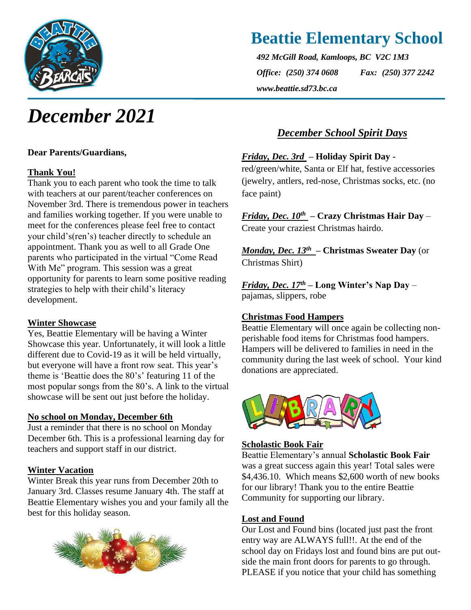

# **Beattie Elementary School**

*492 McGill Road, Kamloops, BC V2C 1M3 Office: (250) 374 0608 Fax: (250) 377 2242 www.beattie.sd73.bc.ca*

# *December 2021*

### **Dear Parents/Guardians,**

### **Thank You!**

Thank you to each parent who took the time to talk with teachers at our parent/teacher conferences on November 3rd. There is tremendous power in teachers and families working together. If you were unable to meet for the conferences please feel free to contact your child's(ren's) teacher directly to schedule an appointment. Thank you as well to all Grade One parents who participated in the virtual "Come Read With Me" program. This session was a great opportunity for parents to learn some positive reading strategies to help with their child's literacy development.

### **Winter Showcase**

Yes, Beattie Elementary will be having a Winter Showcase this year. Unfortunately, it will look a little different due to Covid-19 as it will be held virtually, but everyone will have a front row seat. This year's theme is 'Beattie does the 80's' featuring 11 of the most popular songs from the 80's. A link to the virtual showcase will be sent out just before the holiday.

## **No school on Monday, December 6th**

Just a reminder that there is no school on Monday December 6th. This is a professional learning day for teachers and support staff in our district.

## **Winter Vacation**

Winter Break this year runs from December 20th to January 3rd. Classes resume January 4th. The staff at Beattie Elementary wishes you and your family all the best for this holiday season.



# *December School Spirit Days*

# *Friday, Dec. 3rd* **– Holiday Spirit Day -**

red/green/white, Santa or Elf hat, festive accessories (jewelry, antlers, red-nose, Christmas socks, etc. (no face paint)

# *Friday, Dec. 10th* **– Crazy Christmas Hair Day** – Create your craziest Christmas hairdo.

*Monday, Dec. 13 th*  **– Christmas Sweater Day** (or Christmas Shirt)

*Friday, Dec. 17 th* **– Long Winter's Nap Day** – pajamas, slippers, robe

### **Christmas Food Hampers**

Beattie Elementary will once again be collecting nonperishable food items for Christmas food hampers. Hampers will be delivered to families in need in the community during the last week of school. Your kind donations are appreciated.



### **Scholastic Book Fair**

Beattie Elementary's annual **Scholastic Book Fair** was a great success again this year! Total sales were \$4,436.10. Which means \$2,600 worth of new books for our library! Thank you to the entire Beattie Community for supporting our library.

### **Lost and Found**

Our Lost and Found bins (located just past the front entry way are ALWAYS full!!. At the end of the school day on Fridays lost and found bins are put outside the main front doors for parents to go through. PLEASE if you notice that your child has something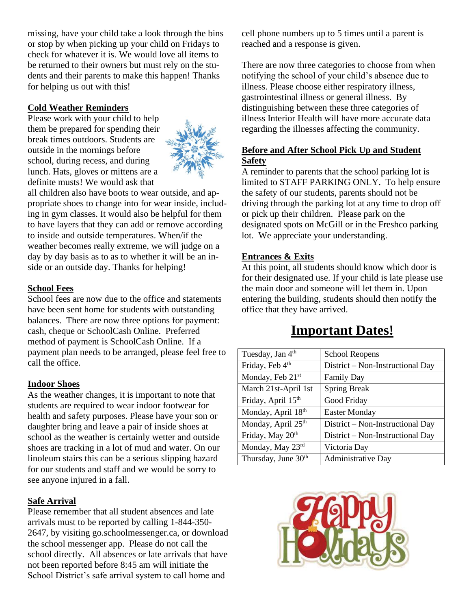missing, have your child take a look through the bins or stop by when picking up your child on Fridays to check for whatever it is. We would love all items to be returned to their owners but must rely on the students and their parents to make this happen! Thanks for helping us out with this!

### **Cold Weather Reminders**

Please work with your child to help them be prepared for spending their break times outdoors. Students are outside in the mornings before school, during recess, and during lunch. Hats, gloves or mittens are a definite musts! We would ask that



all children also have boots to wear outside, and appropriate shoes to change into for wear inside, including in gym classes. It would also be helpful for them to have layers that they can add or remove according to inside and outside temperatures. When/if the weather becomes really extreme, we will judge on a day by day basis as to as to whether it will be an inside or an outside day. Thanks for helping!

#### **School Fees**

School fees are now due to the office and statements have been sent home for students with outstanding balances. There are now three options for payment: cash, cheque or SchoolCash Online. Preferred method of payment is SchoolCash Online. If a payment plan needs to be arranged, please feel free to call the office.

### **Indoor Shoes**

As the weather changes, it is important to note that students are required to wear indoor footwear for health and safety purposes. Please have your son or daughter bring and leave a pair of inside shoes at school as the weather is certainly wetter and outside shoes are tracking in a lot of mud and water. On our linoleum stairs this can be a serious slipping hazard for our students and staff and we would be sorry to see anyone injured in a fall.

### **Safe Arrival**

Please remember that all student absences and late arrivals must to be reported by calling 1-844-350- 2647, by visiting go.schoolmessenger.ca, or download the school messenger app. Please do not call the school directly. All absences or late arrivals that have not been reported before 8:45 am will initiate the School District's safe arrival system to call home and

cell phone numbers up to 5 times until a parent is reached and a response is given.

There are now three categories to choose from when notifying the school of your child's absence due to illness. Please choose either respiratory illness, gastrointestinal illness or general illness. By distinguishing between these three categories of illness Interior Health will have more accurate data regarding the illnesses affecting the community.

#### **Before and After School Pick Up and Student Safety**

A reminder to parents that the school parking lot is limited to STAFF PARKING ONLY. To help ensure the safety of our students, parents should not be driving through the parking lot at any time to drop off or pick up their children. Please park on the designated spots on McGill or in the Freshco parking lot. We appreciate your understanding.

### **Entrances & Exits**

At this point, all students should know which door is for their designated use. If your child is late please use the main door and someone will let them in. Upon entering the building, students should then notify the office that they have arrived.

# **Important Dates!**

| Tuesday, Jan 4th                | <b>School Reopens</b>            |
|---------------------------------|----------------------------------|
| Friday, Feb 4th                 | District – Non-Instructional Day |
| Monday, Feb 21st                | <b>Family Day</b>                |
| March 21st-April 1st            | <b>Spring Break</b>              |
| Friday, April 15th              | Good Friday                      |
| Monday, April 18th              | <b>Easter Monday</b>             |
| Monday, April 25th              | District – Non-Instructional Day |
| Friday, May 20 <sup>th</sup>    | District – Non-Instructional Day |
| Monday, May 23rd                | Victoria Day                     |
| Thursday, June 30 <sup>th</sup> | <b>Administrative Day</b>        |
|                                 |                                  |

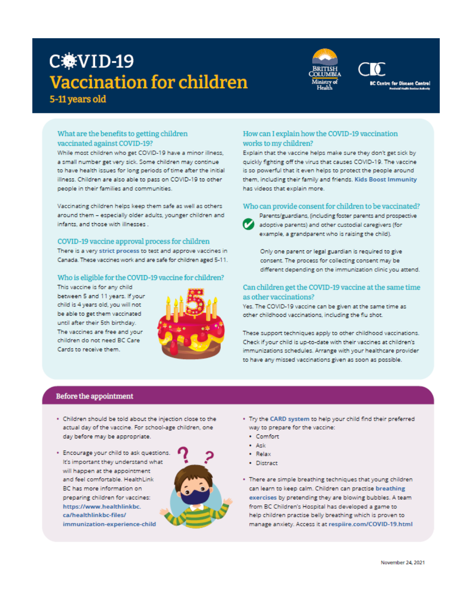# C.YID-19 **Vaccination for children**



### 5-11 years old

#### What are the benefits to getting children vaccinated against COVID-19?

While most children who get COVID-19 have a minor illness, a small number get very sick. Some children may continue to have health issues for long periods of time after the initial illness. Children are also able to pass on COVID-19 to other people in their families and communities.

Vaccinating children helps keep them safe as well as others around them - especially older adults, younger children and infants, and those with illnesses.

#### COVID-19 vaccine approval process for children

There is a very strict process to test and approve vaccines in Canada. These vaccines work and are safe for children aged 5-11.

#### Who is eligible for the COVID-19 vaccine for children?

This vaccine is for any child between 5 and 11 years. If your child is 4 years old, you will not be able to get them vaccinated until after their 5th birthday. The vaccines are free and your children do not need BC Care Cards to receive them.



#### How can I explain how the COVID-19 vaccination works to my children?

Explain that the vaccine helps make sure they don't get sick by quickly fighting off the virus that causes COVID-19. The vaccine is so powerful that it even helps to protect the people around them, including their family and friends. Kids Boost Immunity has videos that explain more.

#### Who can provide consent for children to be vaccinated?



Parents/guardians, (including foster parents and prospective adoptive parents) and other custodial caregivers (for example, a grandparent who is raising the child).

Only one parent or legal guardian is required to give consent. The process for collecting consent may be different depending on the immunization clinic you attend.

#### Can children get the COVID-19 vaccine at the same time as other vaccinations?

Yes. The COVID-19 vaccine can be given at the same time as other childhood vaccinations, including the flu shot.

These support techniques apply to other childhood vaccinations. Check if your child is up-to-date with their vaccines at children's immunizations schedules. Arrange with your healthcare provider to have any missed vaccinations given as soon as possible.

#### **Before the appointment**

- . Children should be told about the injection close to the actual day of the vaccine. For school-age children, one day before may be appropriate.
- · Encourage your child to ask questions. It's important they understand what will happen at the appointment and feel comfortable. HealthLink BC has more information on preparing children for vaccines: https://www.healthlinkbc. ca/healthlinkbc-files/ immunization-experience-child



- \* Try the CARD system to help your child find their preferred way to prepare for the vaccine:
	- Comfort
	- $\bullet$  Ask
	- · Relax
	- Distract
- . There are simple breathing techniques that young children can learn to keep calm. Children can practise breathing exercises by pretending they are blowing bubbles. A team from BC Children's Hospital has developed a game to help children practise belly breathing which is proven to manage anxiety. Access it at respiire.com/COVID-19.html